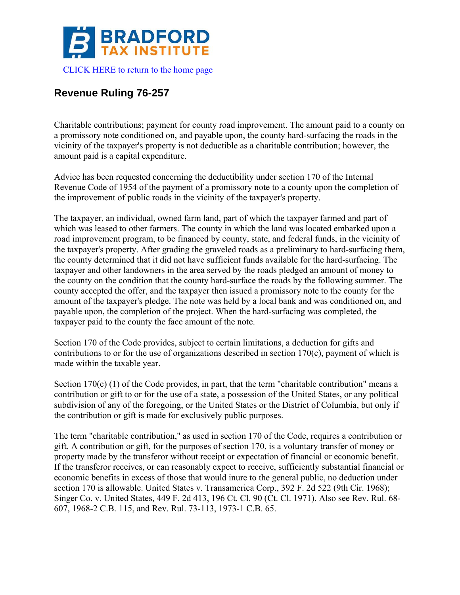

## **Revenue Ruling 76-257**

Charitable contributions; payment for county road improvement. The amount paid to a county on a promissory note conditioned on, and payable upon, the county hard-surfacing the roads in the vicinity of the taxpayer's property is not deductible as a charitable contribution; however, the amount paid is a capital expenditure.

Advice has been requested concerning the deductibility under section 170 of the Internal Revenue Code of 1954 of the payment of a promissory note to a county upon the completion of the improvement of public roads in the vicinity of the taxpayer's property.

The taxpayer, an individual, owned farm land, part of which the taxpayer farmed and part of which was leased to other farmers. The county in which the land was located embarked upon a road improvement program, to be financed by county, state, and federal funds, in the vicinity of the taxpayer's property. After grading the graveled roads as a preliminary to hard-surfacing them, the county determined that it did not have sufficient funds available for the hard-surfacing. The taxpayer and other landowners in the area served by the roads pledged an amount of money to the county on the condition that the county hard-surface the roads by the following summer. The county accepted the offer, and the taxpayer then issued a promissory note to the county for the amount of the taxpayer's pledge. The note was held by a local bank and was conditioned on, and payable upon, the completion of the project. When the hard-surfacing was completed, the taxpayer paid to the county the face amount of the note.

Section 170 of the Code provides, subject to certain limitations, a deduction for gifts and contributions to or for the use of organizations described in section 170(c), payment of which is made within the taxable year.

Section 170(c) (1) of the Code provides, in part, that the term "charitable contribution" means a contribution or gift to or for the use of a state, a possession of the United States, or any political subdivision of any of the foregoing, or the United States or the District of Columbia, but only if the contribution or gift is made for exclusively public purposes.

The term "charitable contribution," as used in section 170 of the Code, requires a contribution or gift. A contribution or gift, for the purposes of section 170, is a voluntary transfer of money or property made by the transferor without receipt or expectation of financial or economic benefit. If the transferor receives, or can reasonably expect to receive, sufficiently substantial financial or economic benefits in excess of those that would inure to the general public, no deduction under section 170 is allowable. United States v. Transamerica Corp., 392 F. 2d 522 (9th Cir. 1968); Singer Co. v. United States, 449 F. 2d 413, 196 Ct. Cl. 90 (Ct. Cl. 1971). Also see Rev. Rul. 68- 607, 1968-2 C.B. 115, and Rev. Rul. 73-113, 1973-1 C.B. 65.